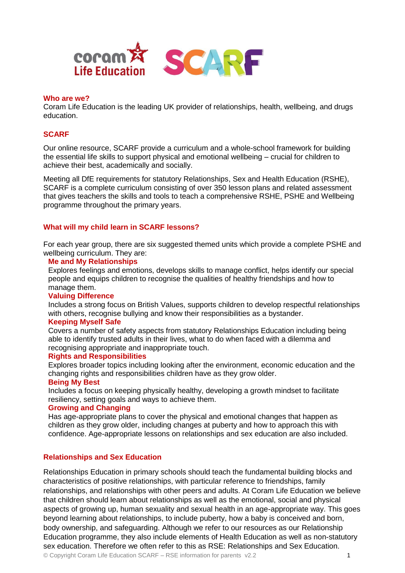

## **Who are we?**

Coram Life Education is the leading UK provider of relationships, health, wellbeing, and drugs education.

## **SCARF**

Our online resource, SCARF provide a curriculum and a whole-school framework for building the essential life skills to support physical and emotional wellbeing – crucial for children to achieve their best, academically and socially.

Meeting all DfE requirements for statutory Relationships, Sex and Health Education (RSHE), SCARF is a complete curriculum consisting of over 350 lesson plans and related assessment that gives teachers the skills and tools to teach a comprehensive RSHE, PSHE and Wellbeing programme throughout the primary years.

## **What will my child learn in SCARF lessons?**

For each year group, there are six suggested themed units which provide a complete PSHE and wellbeing curriculum. They are:

#### **Me and My Relationships**

Explores feelings and emotions, develops skills to manage conflict, helps identify our special people and equips children to recognise the qualities of healthy friendships and how to manage them.

#### **Valuing Difference**

Includes a strong focus on British Values, supports children to develop respectful relationships with others, recognise bullying and know their responsibilities as a bystander.

## **Keeping Myself Safe**

Covers a number of safety aspects from statutory Relationships Education including being able to identify trusted adults in their lives, what to do when faced with a dilemma and recognising appropriate and inappropriate touch.

#### **Rights and Responsibilities**

Explores broader topics including looking after the environment, economic education and the changing rights and responsibilities children have as they grow older.

#### **Being My Best**

Includes a focus on keeping physically healthy, developing a growth mindset to facilitate resiliency, setting goals and ways to achieve them.

## **Growing and Changing**

Has age-appropriate plans to cover the physical and emotional changes that happen as children as they grow older, including changes at puberty and how to approach this with confidence. Age-appropriate lessons on relationships and sex education are also included.

## **Relationships and Sex Education**

© Copyright Coram Life Education SCARF – RSE information for parents v2.2 Relationships Education in primary schools should teach the fundamental building blocks and characteristics of positive relationships, with particular reference to friendships, family relationships, and relationships with other peers and adults. At Coram Life Education we believe that children should learn about relationships as well as the emotional, social and physical aspects of growing up, human sexuality and sexual health in an age-appropriate way. This goes beyond learning about relationships, to include puberty, how a baby is conceived and born, body ownership, and safeguarding. Although we refer to our resources as our Relationship Education programme, they also include elements of Health Education as well as non-statutory sex education. Therefore we often refer to this as RSE: Relationships and Sex Education.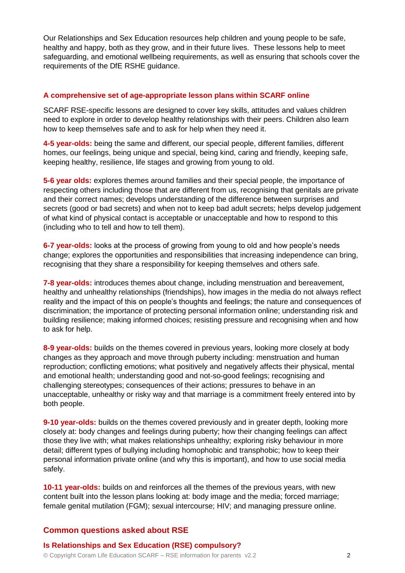Our Relationships and Sex Education resources help children and young people to be safe, healthy and happy, both as they grow, and in their future lives. These lessons help to meet safeguarding, and emotional wellbeing requirements, as well as ensuring that schools cover the requirements of the DfE RSHE guidance.

## **A comprehensive set of age-appropriate lesson plans within SCARF online**

SCARF RSE-specific lessons are designed to cover key skills, attitudes and values children need to explore in order to develop healthy relationships with their peers. Children also learn how to keep themselves safe and to ask for help when they need it.

**4-5 year-olds:** being the same and different, our special people, different families, different homes, our feelings, being unique and special, being kind, caring and friendly, keeping safe, keeping healthy, resilience, life stages and growing from young to old.

**5-6 year olds:** explores themes around families and their special people, the importance of respecting others including those that are different from us, recognising that genitals are private and their correct names; develops understanding of the difference between surprises and secrets (good or bad secrets) and when not to keep bad adult secrets; helps develop judgement of what kind of physical contact is acceptable or unacceptable and how to respond to this (including who to tell and how to tell them).

**6-7 year-olds:** looks at the process of growing from young to old and how people's needs change; explores the opportunities and responsibilities that increasing independence can bring, recognising that they share a responsibility for keeping themselves and others safe.

**7-8 year-olds:** introduces themes about change, including menstruation and bereavement, healthy and unhealthy relationships (friendships), how images in the media do not always reflect reality and the impact of this on people's thoughts and feelings; the nature and consequences of discrimination; the importance of protecting personal information online; understanding risk and building resilience; making informed choices; resisting pressure and recognising when and how to ask for help.

**8-9 year-olds:** builds on the themes covered in previous years, looking more closely at body changes as they approach and move through puberty including: menstruation and human reproduction; conflicting emotions; what positively and negatively affects their physical, mental and emotional health; understanding good and not-so-good feelings; recognising and challenging stereotypes; consequences of their actions; pressures to behave in an unacceptable, unhealthy or risky way and that marriage is a commitment freely entered into by both people.

**9-10 year-olds:** builds on the themes covered previously and in greater depth, looking more closely at: body changes and feelings during puberty; how their changing feelings can affect those they live with; what makes relationships unhealthy; exploring risky behaviour in more detail; different types of bullying including homophobic and transphobic; how to keep their personal information private online (and why this is important), and how to use social media safely.

**10-11 year-olds:** builds on and reinforces all the themes of the previous years, with new content built into the lesson plans looking at: body image and the media; forced marriage; female genital mutilation (FGM); sexual intercourse; HIV; and managing pressure online.

# **Common questions asked about RSE**

**Is Relationships and Sex Education (RSE) compulsory?**

© Copyright Coram Life Education SCARF – RSE information for parents v2.2 2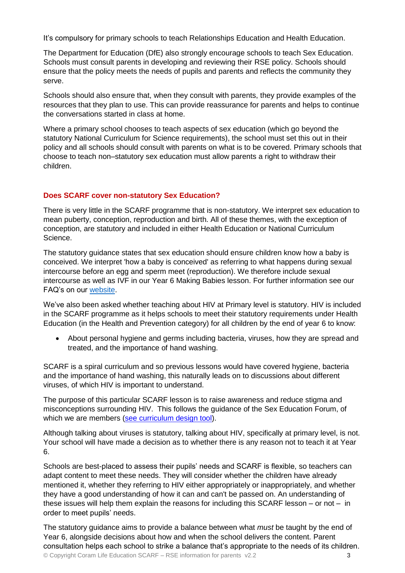It's compulsory for primary schools to teach Relationships Education and Health Education.

The Department for Education (DfE) also strongly encourage schools to teach Sex Education. Schools must consult parents in developing and reviewing their RSE policy. Schools should ensure that the policy meets the needs of pupils and parents and reflects the community they serve.

Schools should also ensure that, when they consult with parents, they provide examples of the resources that they plan to use. This can provide reassurance for parents and helps to continue the conversations started in class at home.

Where a primary school chooses to teach aspects of sex education (which go beyond the statutory National Curriculum for Science requirements), the school must set this out in their policy and all schools should consult with parents on what is to be covered. Primary schools that choose to teach non–statutory sex education must allow parents a right to withdraw their children.

# **Does SCARF cover non-statutory Sex Education?**

There is very little in the SCARF programme that is non-statutory. We interpret sex education to mean puberty, conception, reproduction and birth. All of these themes, with the exception of conception, are statutory and included in either Health Education or National Curriculum Science.

The statutory guidance states that sex education should ensure children know how a baby is conceived. We interpret 'how a baby is conceived' as referring to what happens during sexual intercourse before an egg and sperm meet (reproduction). We therefore include sexual intercourse as well as IVF in our Year 6 Making Babies lesson. For further information see our FAQ's on our [website.](https://www.coramlifeeducation.org.uk/downloads/FAQsforRSE-in-depthanswersandguidanceFINALOctober42019.pdf)

We've also been asked whether teaching about HIV at Primary level is statutory. HIV is included in the SCARF programme as it helps schools to meet their statutory requirements under Health Education (in the Health and Prevention category) for all children by the end of year 6 to know:

 About personal hygiene and germs including bacteria, viruses, how they are spread and treated, and the importance of hand washing.

SCARF is a spiral curriculum and so previous lessons would have covered hygiene, bacteria and the importance of hand washing, this naturally leads on to discussions about different viruses, of which HIV is important to understand.

The purpose of this particular SCARF lesson is to raise awareness and reduce stigma and misconceptions surrounding HIV. This follows the guidance of the Sex Education Forum, of which we are members [\(see curriculum design tool\)](https://www.sexeducationforum.org.uk/sites/default/files/field/attachment/SEF_Curriculum%20Design%202018.pdf).

Although talking about viruses is statutory, talking about HIV, specifically at primary level, is not. Your school will have made a decision as to whether there is any reason not to teach it at Year 6.

Schools are best-placed to assess their pupils' needs and SCARF is flexible, so teachers can adapt content to meet these needs. They will consider whether the children have already mentioned it, whether they referring to HIV either appropriately or inappropriately, and whether they have a good understanding of how it can and can't be passed on. An understanding of these issues will help them explain the reasons for including this SCARF lesson – or not – in order to meet pupils' needs.

© Copyright Coram Life Education SCARF – RSE information for parents v2.2 3 The statutory guidance aims to provide a balance between what *must* be taught by the end of Year 6, alongside decisions about how and when the school delivers the content. Parent consultation helps each school to strike a balance that's appropriate to the needs of its children.